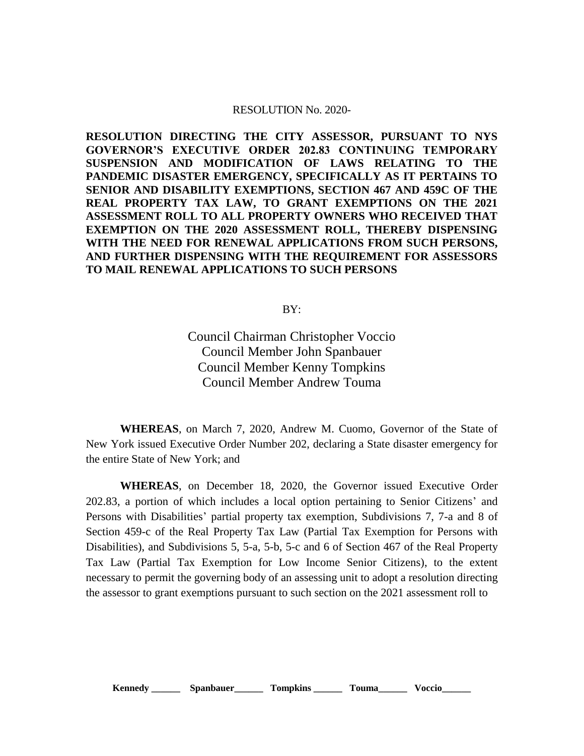## RESOLUTION No. 2020-

**RESOLUTION DIRECTING THE CITY ASSESSOR, PURSUANT TO NYS GOVERNOR'S EXECUTIVE ORDER 202.83 CONTINUING TEMPORARY SUSPENSION AND MODIFICATION OF LAWS RELATING TO THE PANDEMIC DISASTER EMERGENCY, SPECIFICALLY AS IT PERTAINS TO SENIOR AND DISABILITY EXEMPTIONS, SECTION 467 AND 459C OF THE REAL PROPERTY TAX LAW, TO GRANT EXEMPTIONS ON THE 2021 ASSESSMENT ROLL TO ALL PROPERTY OWNERS WHO RECEIVED THAT EXEMPTION ON THE 2020 ASSESSMENT ROLL, THEREBY DISPENSING WITH THE NEED FOR RENEWAL APPLICATIONS FROM SUCH PERSONS, AND FURTHER DISPENSING WITH THE REQUIREMENT FOR ASSESSORS TO MAIL RENEWAL APPLICATIONS TO SUCH PERSONS**

BY:

Council Chairman Christopher Voccio Council Member John Spanbauer Council Member Kenny Tompkins Council Member Andrew Touma

**WHEREAS**, on March 7, 2020, Andrew M. Cuomo, Governor of the State of New York issued Executive Order Number 202, declaring a State disaster emergency for the entire State of New York; and

**WHEREAS**, on December 18, 2020, the Governor issued Executive Order 202.83, a portion of which includes a local option pertaining to Senior Citizens' and Persons with Disabilities' partial property tax exemption, Subdivisions 7, 7-a and 8 of Section 459-c of the Real Property Tax Law (Partial Tax Exemption for Persons with Disabilities), and Subdivisions 5, 5-a, 5-b, 5-c and 6 of Section 467 of the Real Property Tax Law (Partial Tax Exemption for Low Income Senior Citizens), to the extent necessary to permit the governing body of an assessing unit to adopt a resolution directing the assessor to grant exemptions pursuant to such section on the 2021 assessment roll to

**Kennedy** Spanbauer Tompkins Touma Voccio